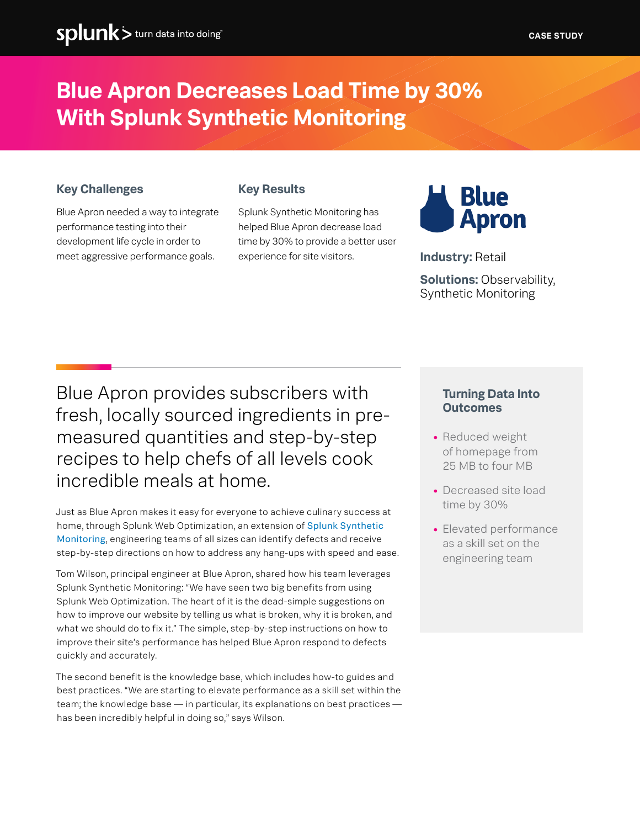## **Blue Apron Decreases Load Time by 30% With Splunk Synthetic Monitoring**

### **Key Challenges**

Blue Apron needed a way to integrate performance testing into their development life cycle in order to meet aggressive performance goals.

#### **Key Results**

Splunk Synthetic Monitoring has helped Blue Apron decrease load time by 30% to provide a better user experience for site visitors.



**Industry:** Retail

**Solutions:** Observability, Synthetic Monitoring

Blue Apron provides subscribers with fresh, locally sourced ingredients in premeasured quantities and step-by-step recipes to help chefs of all levels cook incredible meals at home.

Just as Blue Apron makes it easy for everyone to achieve culinary success at home, through Splunk Web Optimization, an extension of [Splunk Synthetic](https://www.splunk.com/en_us/blog/tips-and-tricks/splunk-and-synthetic-monitoring.html)  [Monitoring](https://www.splunk.com/en_us/blog/tips-and-tricks/splunk-and-synthetic-monitoring.html), engineering teams of all sizes can identify defects and receive step-by-step directions on how to address any hang-ups with speed and ease.

Tom Wilson, principal engineer at Blue Apron, shared how his team leverages Splunk Synthetic Monitoring: "We have seen two big benefits from using Splunk Web Optimization. The heart of it is the dead-simple suggestions on how to improve our website by telling us what is broken, why it is broken, and what we should do to fix it." The simple, step-by-step instructions on how to improve their site's performance has helped Blue Apron respond to defects quickly and accurately.

The second benefit is the knowledge base, which includes how-to guides and best practices. "We are starting to elevate performance as a skill set within the team; the knowledge base — in particular, its explanations on best practices has been incredibly helpful in doing so," says Wilson.

#### **Turning Data Into Outcomes**

- **•** Reduced weight of homepage from 25 MB to four MB
- **•** Decreased site load time by 30%
- **•** Elevated performance as a skill set on the engineering team